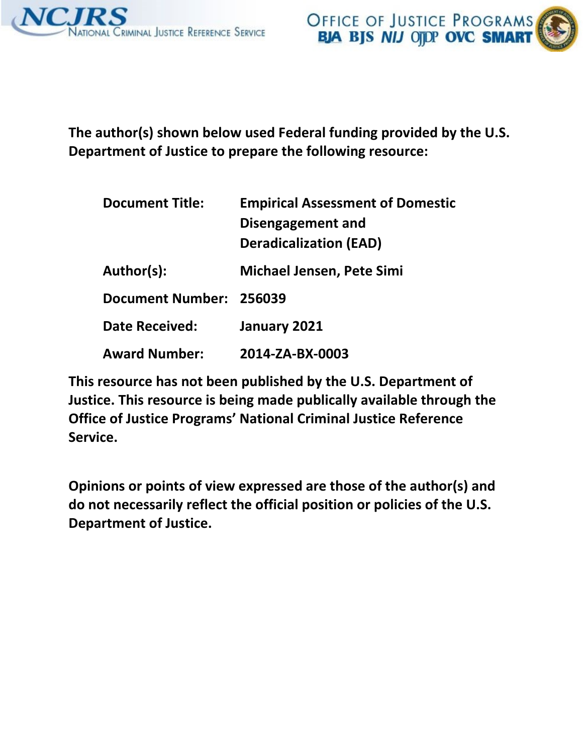

**The author(s) shown below used Federal funding provided by the U.S. Department of Justice to prepare the following resource:** 

| <b>Document Title:</b>  | <b>Empirical Assessment of Domestic</b><br>Disengagement and<br><b>Deradicalization (EAD)</b> |
|-------------------------|-----------------------------------------------------------------------------------------------|
| Author(s):              | <b>Michael Jensen, Pete Simi</b>                                                              |
| Document Number: 256039 |                                                                                               |
| <b>Date Received:</b>   | January 2021                                                                                  |
| <b>Award Number:</b>    | 2014-ZA-BX-0003                                                                               |

**This resource has not been published by the U.S. Department of Justice. This resource is being made publically available through the Office of Justice Programs' National Criminal Justice Reference Service.** 

**Opinions or points of view expressed are those of the author(s) and do not necessarily reflect the official position or policies of the U.S. Department of Justice.**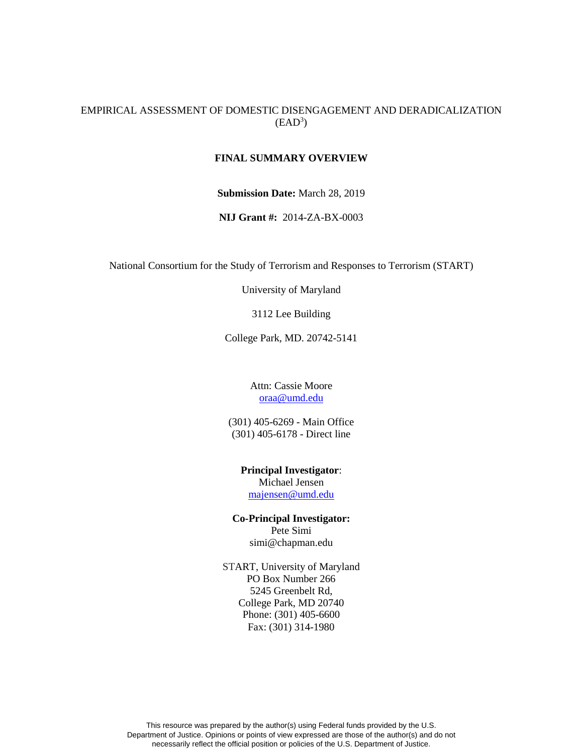## EMPIRICAL ASSESSMENT OF DOMESTIC DISENGAGEMENT AND DERADICALIZATION  $(EAD<sup>3</sup>)$

### **FINAL SUMMARY OVERVIEW**

**Submission Date:** March 28, 2019

**NIJ Grant #:** 2014-ZA-BX-0003

National Consortium for the Study of Terrorism and Responses to Terrorism (START)

University of Maryland

3112 Lee Building

College Park, MD. 20742-5141

Attn: Cassie Moore [oraa@umd.edu](mailto:oraa@umd.edu%0d)

(301) 405-6269 - Main Office (301) 405-6178 - Direct line

**Principal Investigator**: Michael Jensen [majensen@umd.edu](mailto:glafree@umd.edu)

**Co-Principal Investigator:** Pete Simi simi@chapman.edu

START, University of Maryland PO Box Number 266 5245 Greenbelt Rd, College Park, MD 20740 Phone: (301) 405-6600 Fax: (301) 314-1980

This resource was prepared by the author(s) using Federal funds provided by the U.S. Department of Justice. Opinions or points of view expressed are those of the author(s) and do not necessarily reflect the official position or policies of the U.S. Department of Justice.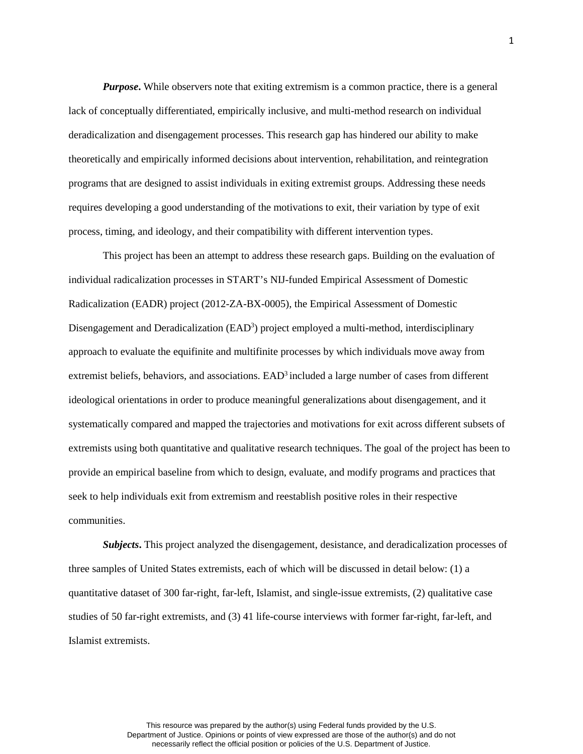*Purpose*. While observers note that exiting extremism is a common practice, there is a general lack of conceptually differentiated, empirically inclusive, and multi-method research on individual deradicalization and disengagement processes. This research gap has hindered our ability to make theoretically and empirically informed decisions about intervention, rehabilitation, and reintegration programs that are designed to assist individuals in exiting extremist groups. Addressing these needs requires developing a good understanding of the motivations to exit, their variation by type of exit process, timing, and ideology, and their compatibility with different intervention types.

This project has been an attempt to address these research gaps. Building on the evaluation of individual radicalization processes in START's NIJ-funded Empirical Assessment of Domestic Radicalization (EADR) project (2012-ZA-BX-0005), the Empirical Assessment of Domestic Disengagement and Deradicalization (EAD<sup>3</sup>) project employed a multi-method, interdisciplinary approach to evaluate the equifinite and multifinite processes by which individuals move away from extremist beliefs, behaviors, and associations. EAD<sup>3</sup> included a large number of cases from different ideological orientations in order to produce meaningful generalizations about disengagement, and it systematically compared and mapped the trajectories and motivations for exit across different subsets of extremists using both quantitative and qualitative research techniques. The goal of the project has been to provide an empirical baseline from which to design, evaluate, and modify programs and practices that seek to help individuals exit from extremism and reestablish positive roles in their respective communities.

**Subjects.** This project analyzed the disengagement, desistance, and deradicalization processes of three samples of United States extremists, each of which will be discussed in detail below: (1) a quantitative dataset of 300 far-right, far-left, Islamist, and single-issue extremists, (2) qualitative case studies of 50 far-right extremists, and (3) 41 life-course interviews with former far-right, far-left, and Islamist extremists.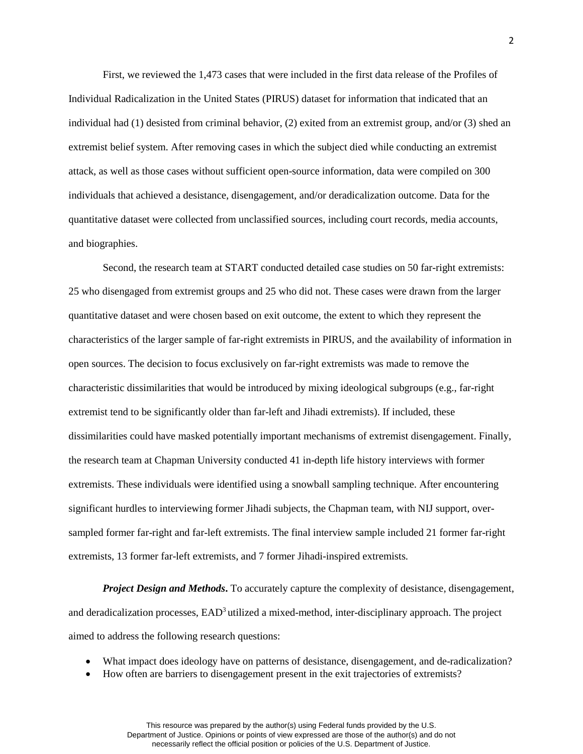First, we reviewed the 1,473 cases that were included in the first data release of the Profiles of Individual Radicalization in the United States (PIRUS) dataset for information that indicated that an individual had (1) desisted from criminal behavior, (2) exited from an extremist group, and/or (3) shed an extremist belief system. After removing cases in which the subject died while conducting an extremist attack, as well as those cases without sufficient open-source information, data were compiled on 300 individuals that achieved a desistance, disengagement, and/or deradicalization outcome. Data for the quantitative dataset were collected from unclassified sources, including court records, media accounts, and biographies.

Second, the research team at START conducted detailed case studies on 50 far-right extremists: 25 who disengaged from extremist groups and 25 who did not. These cases were drawn from the larger quantitative dataset and were chosen based on exit outcome, the extent to which they represent the characteristics of the larger sample of far-right extremists in PIRUS, and the availability of information in open sources. The decision to focus exclusively on far-right extremists was made to remove the characteristic dissimilarities that would be introduced by mixing ideological subgroups (e.g., far-right extremist tend to be significantly older than far-left and Jihadi extremists). If included, these dissimilarities could have masked potentially important mechanisms of extremist disengagement. Finally, the research team at Chapman University conducted 41 in-depth life history interviews with former extremists. These individuals were identified using a snowball sampling technique. After encountering significant hurdles to interviewing former Jihadi subjects, the Chapman team, with NIJ support, oversampled former far-right and far-left extremists. The final interview sample included 21 former far-right extremists, 13 former far-left extremists, and 7 former Jihadi-inspired extremists.

*Project Design and Methods*. To accurately capture the complexity of desistance, disengagement, and deradicalization processes, EAD<sup>3</sup> utilized a mixed-method, inter-disciplinary approach. The project aimed to address the following research questions:

- What impact does ideology have on patterns of desistance, disengagement, and de-radicalization?
- How often are barriers to disengagement present in the exit trajectories of extremists?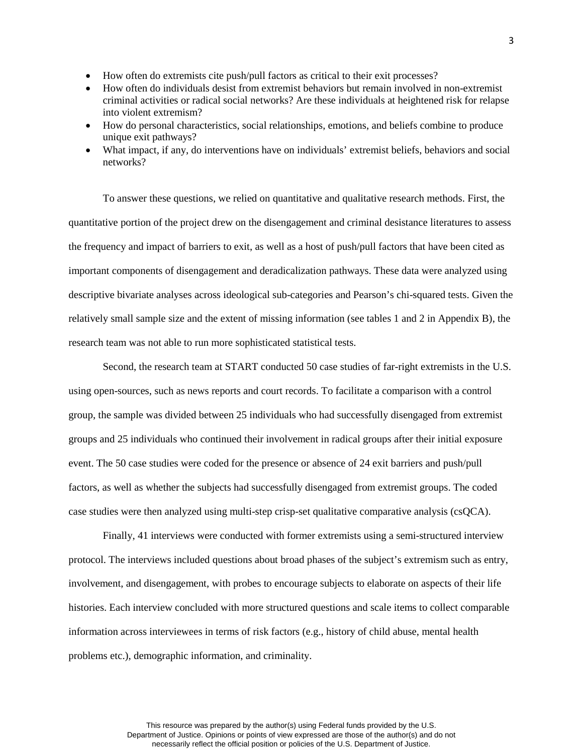- How often do extremists cite push/pull factors as critical to their exit processes?
- How often do individuals desist from extremist behaviors but remain involved in non-extremist criminal activities or radical social networks? Are these individuals at heightened risk for relapse into violent extremism?
- How do personal characteristics, social relationships, emotions, and beliefs combine to produce unique exit pathways?
- What impact, if any, do interventions have on individuals' extremist beliefs, behaviors and social networks?

To answer these questions, we relied on quantitative and qualitative research methods. First, the quantitative portion of the project drew on the disengagement and criminal desistance literatures to assess the frequency and impact of barriers to exit, as well as a host of push/pull factors that have been cited as important components of disengagement and deradicalization pathways. These data were analyzed using descriptive bivariate analyses across ideological sub-categories and Pearson's chi-squared tests. Given the relatively small sample size and the extent of missing information (see tables 1 and 2 in Appendix B), the research team was not able to run more sophisticated statistical tests.

Second, the research team at START conducted 50 case studies of far-right extremists in the U.S. using open-sources, such as news reports and court records. To facilitate a comparison with a control group, the sample was divided between 25 individuals who had successfully disengaged from extremist groups and 25 individuals who continued their involvement in radical groups after their initial exposure event. The 50 case studies were coded for the presence or absence of 24 exit barriers and push/pull factors, as well as whether the subjects had successfully disengaged from extremist groups. The coded case studies were then analyzed using multi-step crisp-set qualitative comparative analysis (csQCA).

Finally, 41 interviews were conducted with former extremists using a semi-structured interview protocol. The interviews included questions about broad phases of the subject's extremism such as entry, involvement, and disengagement, with probes to encourage subjects to elaborate on aspects of their life histories. Each interview concluded with more structured questions and scale items to collect comparable information across interviewees in terms of risk factors (e.g., history of child abuse, mental health problems etc.), demographic information, and criminality.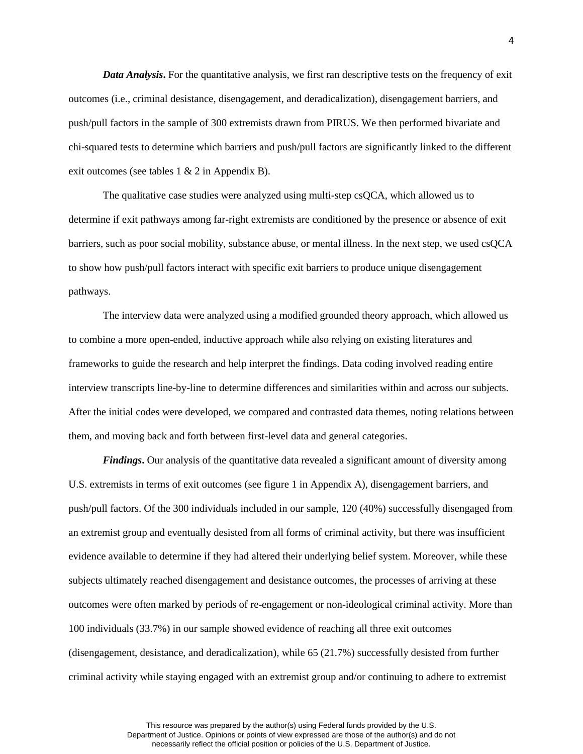*Data Analysis*. For the quantitative analysis, we first ran descriptive tests on the frequency of exit outcomes (i.e., criminal desistance, disengagement, and deradicalization), disengagement barriers, and push/pull factors in the sample of 300 extremists drawn from PIRUS. We then performed bivariate and chi-squared tests to determine which barriers and push/pull factors are significantly linked to the different exit outcomes (see tables 1 & 2 in Appendix B).

The qualitative case studies were analyzed using multi-step csQCA, which allowed us to determine if exit pathways among far-right extremists are conditioned by the presence or absence of exit barriers, such as poor social mobility, substance abuse, or mental illness. In the next step, we used csQCA to show how push/pull factors interact with specific exit barriers to produce unique disengagement pathways.

The interview data were analyzed using a modified grounded theory approach, which allowed us to combine a more open-ended, inductive approach while also relying on existing literatures and frameworks to guide the research and help interpret the findings. Data coding involved reading entire interview transcripts line-by-line to determine differences and similarities within and across our subjects. After the initial codes were developed, we compared and contrasted data themes, noting relations between them, and moving back and forth between first-level data and general categories.

*Findings***.** Our analysis of the quantitative data revealed a significant amount of diversity among U.S. extremists in terms of exit outcomes (see figure 1 in Appendix A), disengagement barriers, and push/pull factors. Of the 300 individuals included in our sample, 120 (40%) successfully disengaged from an extremist group and eventually desisted from all forms of criminal activity, but there was insufficient evidence available to determine if they had altered their underlying belief system. Moreover, while these subjects ultimately reached disengagement and desistance outcomes, the processes of arriving at these outcomes were often marked by periods of re-engagement or non-ideological criminal activity. More than 100 individuals (33.7%) in our sample showed evidence of reaching all three exit outcomes (disengagement, desistance, and deradicalization), while 65 (21.7%) successfully desisted from further criminal activity while staying engaged with an extremist group and/or continuing to adhere to extremist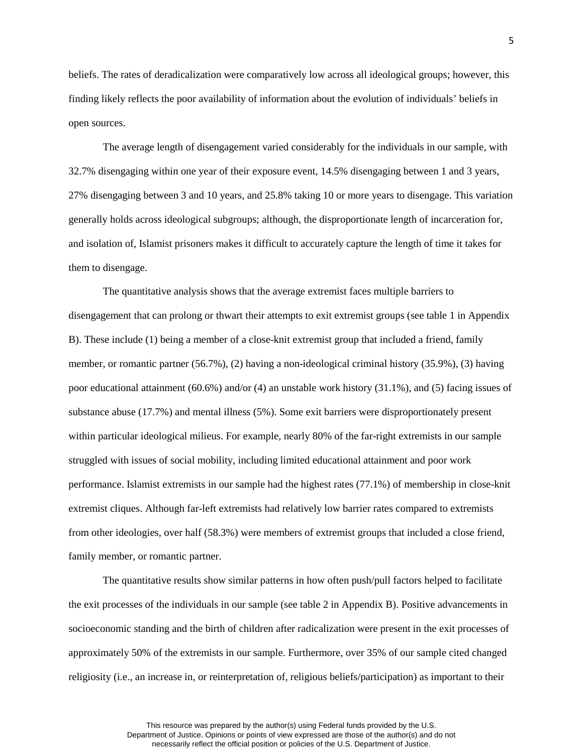beliefs. The rates of deradicalization were comparatively low across all ideological groups; however, this finding likely reflects the poor availability of information about the evolution of individuals' beliefs in open sources.

The average length of disengagement varied considerably for the individuals in our sample, with 32.7% disengaging within one year of their exposure event, 14.5% disengaging between 1 and 3 years, 27% disengaging between 3 and 10 years, and 25.8% taking 10 or more years to disengage. This variation generally holds across ideological subgroups; although, the disproportionate length of incarceration for, and isolation of, Islamist prisoners makes it difficult to accurately capture the length of time it takes for them to disengage.

The quantitative analysis shows that the average extremist faces multiple barriers to disengagement that can prolong or thwart their attempts to exit extremist groups (see table 1 in Appendix B). These include (1) being a member of a close-knit extremist group that included a friend, family member, or romantic partner (56.7%), (2) having a non-ideological criminal history (35.9%), (3) having poor educational attainment (60.6%) and/or (4) an unstable work history (31.1%), and (5) facing issues of substance abuse (17.7%) and mental illness (5%). Some exit barriers were disproportionately present within particular ideological milieus. For example, nearly 80% of the far-right extremists in our sample struggled with issues of social mobility, including limited educational attainment and poor work performance. Islamist extremists in our sample had the highest rates (77.1%) of membership in close-knit extremist cliques. Although far-left extremists had relatively low barrier rates compared to extremists from other ideologies, over half (58.3%) were members of extremist groups that included a close friend, family member, or romantic partner.

The quantitative results show similar patterns in how often push/pull factors helped to facilitate the exit processes of the individuals in our sample (see table 2 in Appendix B). Positive advancements in socioeconomic standing and the birth of children after radicalization were present in the exit processes of approximately 50% of the extremists in our sample. Furthermore, over 35% of our sample cited changed religiosity (i.e., an increase in, or reinterpretation of, religious beliefs/participation) as important to their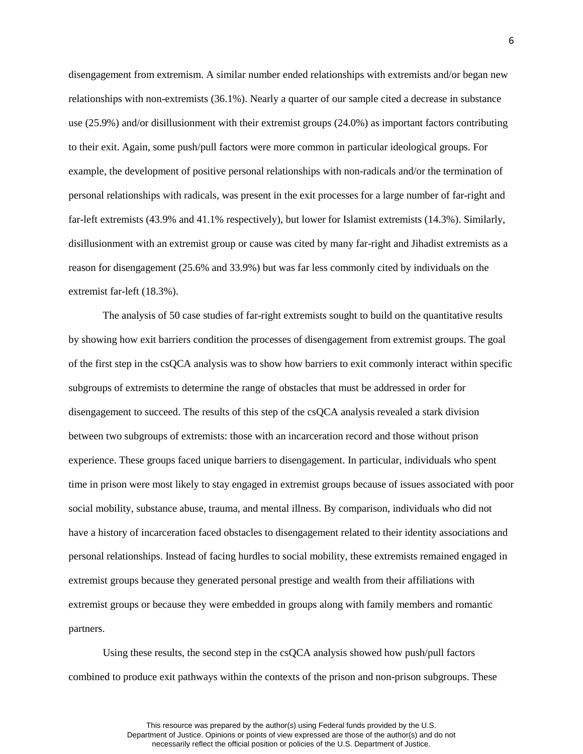disengagement from extremism. A similar number ended relationships with extremists and/or began new relationships with non-extremists (36.1%). Nearly a quarter of our sample cited a decrease in substance use (25.9%) and/or disillusionment with their extremist groups (24.0%) as important factors contributing to their exit. Again, some push/pull factors were more common in particular ideological groups. For example, the development of positive personal relationships with non-radicals and/or the termination of personal relationships with radicals, was present in the exit processes for a large number of far-right and far-left extremists (43.9% and 41.1% respectively), but lower for Islamist extremists (14.3%). Similarly, disillusionment with an extremist group or cause was cited by many far-right and Jihadist extremists as a reason for disengagement (25.6% and 33.9%) but was far less commonly cited by individuals on the extremist far-left (18.3%).

The analysis of 50 case studies of far-right extremists sought to build on the quantitative results by showing how exit barriers condition the processes of disengagement from extremist groups. The goal of the first step in the csQCA analysis was to show how barriers to exit commonly interact within specific subgroups of extremists to determine the range of obstacles that must be addressed in order for disengagement to succeed. The results of this step of the csQCA analysis revealed a stark division between two subgroups of extremists: those with an incarceration record and those without prison experience. These groups faced unique barriers to disengagement. In particular, individuals who spent time in prison were most likely to stay engaged in extremist groups because of issues associated with poor social mobility, substance abuse, trauma, and mental illness. By comparison, individuals who did not have a history of incarceration faced obstacles to disengagement related to their identity associations and personal relationships. Instead of facing hurdles to social mobility, these extremists remained engaged in extremist groups because they generated personal prestige and wealth from their affiliations with extremist groups or because they were embedded in groups along with family members and romantic partners.

Using these results, the second step in the csQCA analysis showed how push/pull factors combined to produce exit pathways within the contexts of the prison and non-prison subgroups. These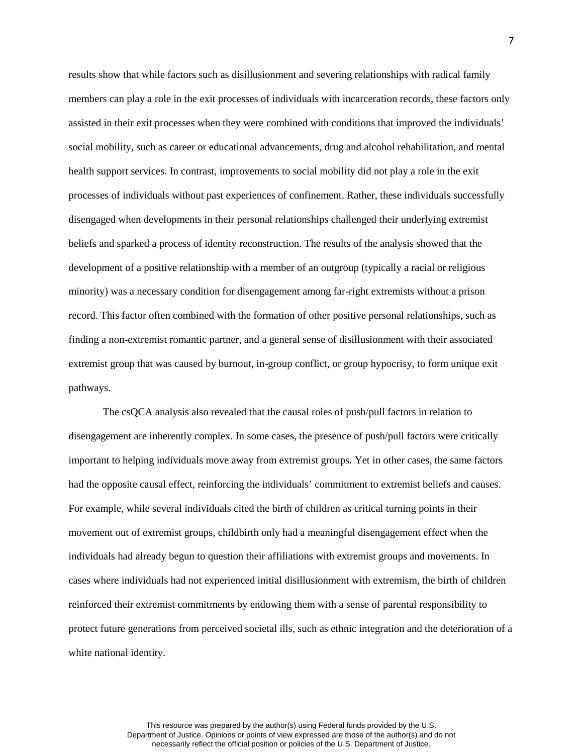results show that while factors such as disillusionment and severing relationships with radical family members can play a role in the exit processes of individuals with incarceration records, these factors only assisted in their exit processes when they were combined with conditions that improved the individuals' social mobility, such as career or educational advancements, drug and alcohol rehabilitation, and mental health support services. In contrast, improvements to social mobility did not play a role in the exit processes of individuals without past experiences of confinement. Rather, these individuals successfully disengaged when developments in their personal relationships challenged their underlying extremist beliefs and sparked a process of identity reconstruction. The results of the analysis showed that the development of a positive relationship with a member of an outgroup (typically a racial or religious minority) was a necessary condition for disengagement among far-right extremists without a prison record. This factor often combined with the formation of other positive personal relationships, such as finding a non-extremist romantic partner, and a general sense of disillusionment with their associated extremist group that was caused by burnout, in-group conflict, or group hypocrisy, to form unique exit pathways.

The csQCA analysis also revealed that the causal roles of push/pull factors in relation to disengagement are inherently complex. In some cases, the presence of push/pull factors were critically important to helping individuals move away from extremist groups. Yet in other cases, the same factors had the opposite causal effect, reinforcing the individuals' commitment to extremist beliefs and causes. For example, while several individuals cited the birth of children as critical turning points in their movement out of extremist groups, childbirth only had a meaningful disengagement effect when the individuals had already begun to question their affiliations with extremist groups and movements. In cases where individuals had not experienced initial disillusionment with extremism, the birth of children reinforced their extremist commitments by endowing them with a sense of parental responsibility to protect future generations from perceived societal ills, such as ethnic integration and the deterioration of a white national identity.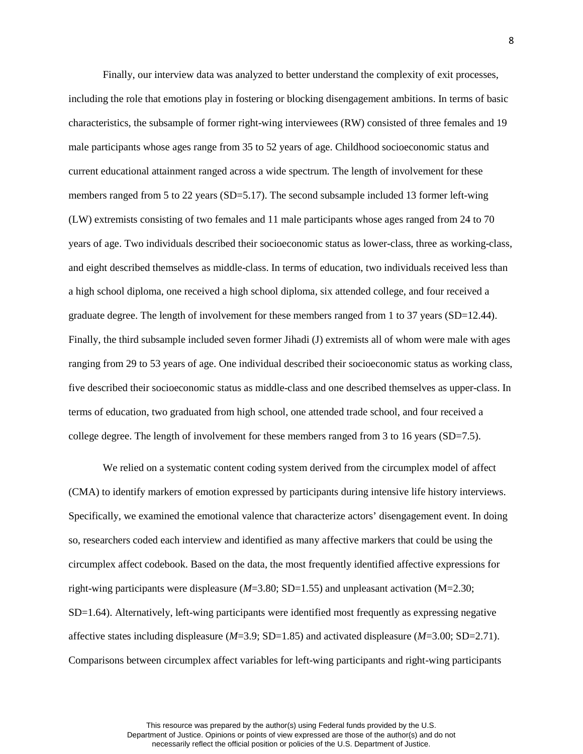Finally, our interview data was analyzed to better understand the complexity of exit processes, including the role that emotions play in fostering or blocking disengagement ambitions. In terms of basic characteristics, the subsample of former right-wing interviewees (RW) consisted of three females and 19 male participants whose ages range from 35 to 52 years of age. Childhood socioeconomic status and current educational attainment ranged across a wide spectrum. The length of involvement for these members ranged from 5 to 22 years (SD=5.17). The second subsample included 13 former left-wing (LW) extremists consisting of two females and 11 male participants whose ages ranged from 24 to 70 years of age. Two individuals described their socioeconomic status as lower-class, three as working-class, and eight described themselves as middle-class. In terms of education, two individuals received less than a high school diploma, one received a high school diploma, six attended college, and four received a graduate degree. The length of involvement for these members ranged from 1 to 37 years (SD=12.44). Finally, the third subsample included seven former Jihadi (J) extremists all of whom were male with ages ranging from 29 to 53 years of age. One individual described their socioeconomic status as working class, five described their socioeconomic status as middle-class and one described themselves as upper-class. In terms of education, two graduated from high school, one attended trade school, and four received a college degree. The length of involvement for these members ranged from 3 to 16 years (SD=7.5).

We relied on a systematic content coding system derived from the circumplex model of affect (CMA) to identify markers of emotion expressed by participants during intensive life history interviews. Specifically, we examined the emotional valence that characterize actors' disengagement event. In doing so, researchers coded each interview and identified as many affective markers that could be using the circumplex affect codebook. Based on the data, the most frequently identified affective expressions for right-wing participants were displeasure (*M*=3.80; SD=1.55) and unpleasant activation (M=2.30; SD=1.64). Alternatively, left-wing participants were identified most frequently as expressing negative affective states including displeasure (*M*=3.9; SD=1.85) and activated displeasure (*M*=3.00; SD=2.71). Comparisons between circumplex affect variables for left-wing participants and right-wing participants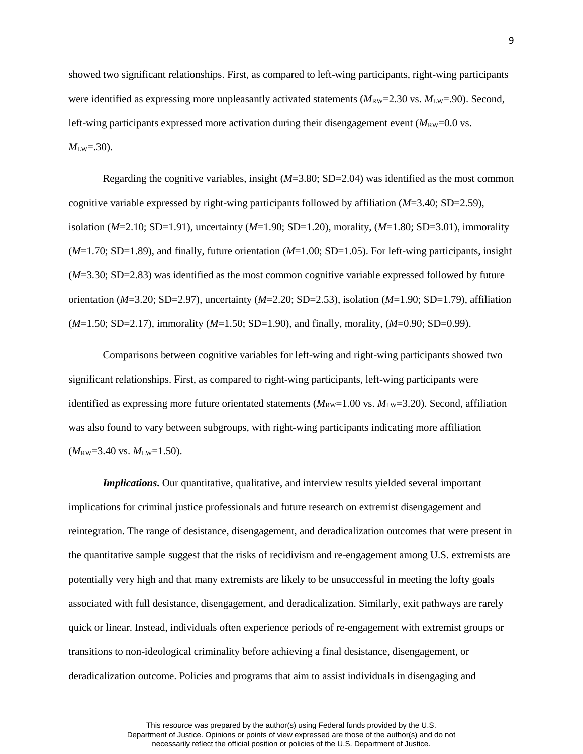showed two significant relationships. First, as compared to left-wing participants, right-wing participants were identified as expressing more unpleasantly activated statements ( $M_{\text{RW}}=2.30$  vs.  $M_{\text{LW}}=.90$ ). Second, left-wing participants expressed more activation during their disengagement event  $(M_{\rm RW}=0.0 \text{ vs.})$  $M_{LW} = .30$ ).

Regarding the cognitive variables, insight  $(M=3.80; SD=2.04)$  was identified as the most common cognitive variable expressed by right-wing participants followed by affiliation (*M*=3.40; SD=2.59), isolation (*M*=2.10; SD=1.91), uncertainty (*M*=1.90; SD=1.20), morality, (*M*=1.80; SD=3.01), immorality (*M*=1.70; SD=1.89), and finally, future orientation (*M*=1.00; SD=1.05). For left-wing participants, insight (*M*=3.30; SD=2.83) was identified as the most common cognitive variable expressed followed by future orientation (*M*=3.20; SD=2.97), uncertainty (*M*=2.20; SD=2.53), isolation (*M*=1.90; SD=1.79), affiliation (*M*=1.50; SD=2.17), immorality (*M*=1.50; SD=1.90), and finally, morality, (*M*=0.90; SD=0.99).

Comparisons between cognitive variables for left-wing and right-wing participants showed two significant relationships. First, as compared to right-wing participants, left-wing participants were identified as expressing more future orientated statements  $(M_{\text{RW}}=1.00 \text{ vs. } M_{\text{LW}}=3.20)$ . Second, affiliation was also found to vary between subgroups, with right-wing participants indicating more affiliation  $(M_{\text{RW}}=3.40 \text{ vs. } M_{\text{LW}}=1.50).$ 

*Implications***.** Our quantitative, qualitative, and interview results yielded several important implications for criminal justice professionals and future research on extremist disengagement and reintegration. The range of desistance, disengagement, and deradicalization outcomes that were present in the quantitative sample suggest that the risks of recidivism and re-engagement among U.S. extremists are potentially very high and that many extremists are likely to be unsuccessful in meeting the lofty goals associated with full desistance, disengagement, and deradicalization. Similarly, exit pathways are rarely quick or linear. Instead, individuals often experience periods of re-engagement with extremist groups or transitions to non-ideological criminality before achieving a final desistance, disengagement, or deradicalization outcome. Policies and programs that aim to assist individuals in disengaging and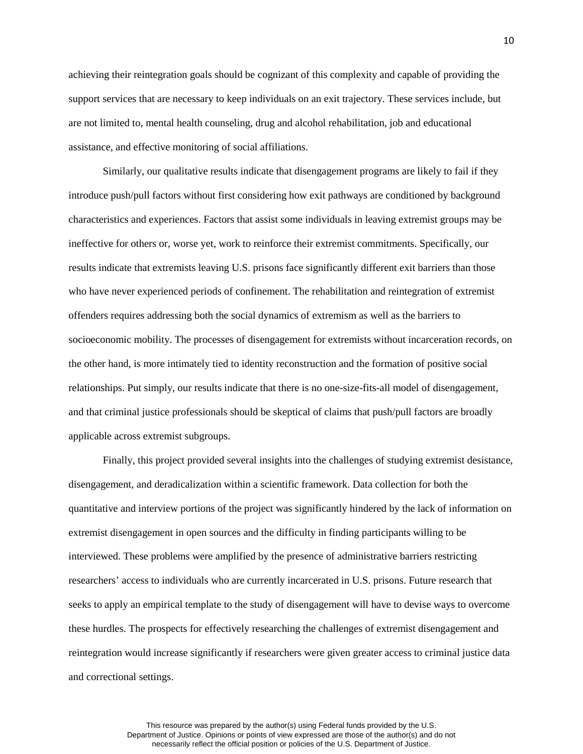achieving their reintegration goals should be cognizant of this complexity and capable of providing the support services that are necessary to keep individuals on an exit trajectory. These services include, but are not limited to, mental health counseling, drug and alcohol rehabilitation, job and educational assistance, and effective monitoring of social affiliations.

Similarly, our qualitative results indicate that disengagement programs are likely to fail if they introduce push/pull factors without first considering how exit pathways are conditioned by background characteristics and experiences. Factors that assist some individuals in leaving extremist groups may be ineffective for others or, worse yet, work to reinforce their extremist commitments. Specifically, our results indicate that extremists leaving U.S. prisons face significantly different exit barriers than those who have never experienced periods of confinement. The rehabilitation and reintegration of extremist offenders requires addressing both the social dynamics of extremism as well as the barriers to socioeconomic mobility. The processes of disengagement for extremists without incarceration records, on the other hand, is more intimately tied to identity reconstruction and the formation of positive social relationships. Put simply, our results indicate that there is no one-size-fits-all model of disengagement, and that criminal justice professionals should be skeptical of claims that push/pull factors are broadly applicable across extremist subgroups.

Finally, this project provided several insights into the challenges of studying extremist desistance, disengagement, and deradicalization within a scientific framework. Data collection for both the quantitative and interview portions of the project was significantly hindered by the lack of information on extremist disengagement in open sources and the difficulty in finding participants willing to be interviewed. These problems were amplified by the presence of administrative barriers restricting researchers' access to individuals who are currently incarcerated in U.S. prisons. Future research that seeks to apply an empirical template to the study of disengagement will have to devise ways to overcome these hurdles. The prospects for effectively researching the challenges of extremist disengagement and reintegration would increase significantly if researchers were given greater access to criminal justice data and correctional settings.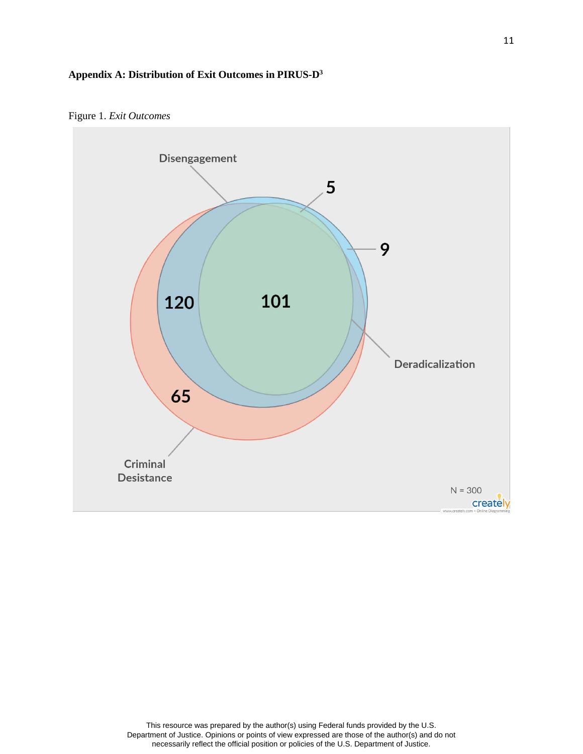# **Appendix A: Distribution of Exit Outcomes in PIRUS-D3**



Figure 1. *Exit Outcomes*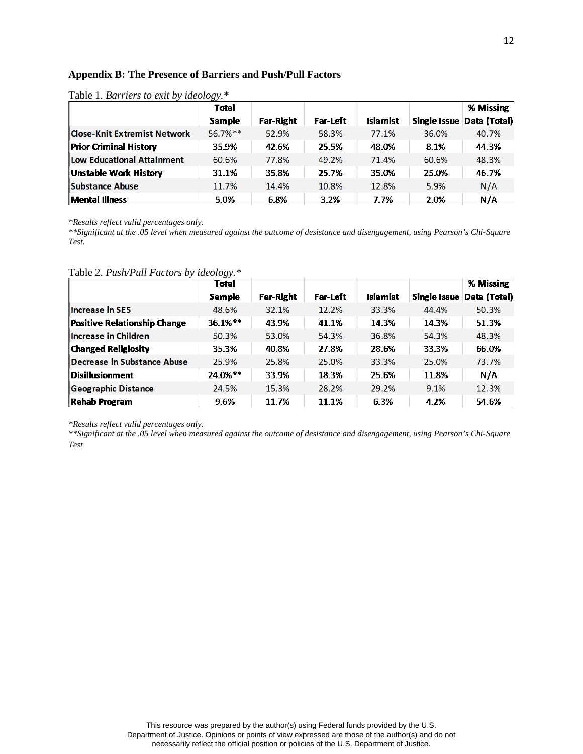### **Appendix B: The Presence of Barriers and Push/Pull Factors**

|                                     | Total         |                  |                 |                 |       | % Missing                 |
|-------------------------------------|---------------|------------------|-----------------|-----------------|-------|---------------------------|
|                                     | <b>Sample</b> | <b>Far-Right</b> | <b>Far-Left</b> | <b>Islamist</b> |       | Single Issue Data (Total) |
| <b>Close-Knit Extremist Network</b> | 56.7%**       | 52.9%            | 58.3%           | 77.1%           | 36.0% | 40.7%                     |
| <b>Prior Criminal History</b>       | 35.9%         | 42.6%            | 25.5%           | 48.0%           | 8.1%  | 44.3%                     |
| Low Educational Attainment          | 60.6%         | 77.8%            | 49.2%           | 71.4%           | 60.6% | 48.3%                     |
| <b>Unstable Work History</b>        | 31.1%         | 35.8%            | 25.7%           | 35.0%           | 25.0% | 46.7%                     |
| <b>Substance Abuse</b>              | 11.7%         | 14.4%            | 10.8%           | 12.8%           | 5.9%  | N/A                       |
| <b>Mental Illness</b>               | 5.0%          | 6.8%             | 3.2%            | 7.7%            | 2.0%  | N/A                       |

Table 1. *Barriers to exit by ideology.\**

*\*Results reflect valid percentages only.*

*\*\*Significant at the .05 level when measured against the outcome of desistance and disengagement, using Pearson's Chi-Square Test.* 

Table 2. *Push/Pull Factors by ideology.\** 

|                                     | <b>Total</b>  |                  |                 |                 |              | % Missing    |
|-------------------------------------|---------------|------------------|-----------------|-----------------|--------------|--------------|
|                                     | <b>Sample</b> | <b>Far-Right</b> | <b>Far-Left</b> | <b>Islamist</b> | Single Issue | Data (Total) |
| <b>Increase in SES</b>              | 48.6%         | 32.1%            | 12.2%           | 33.3%           | 44.4%        | 50.3%        |
| <b>Positive Relationship Change</b> | 36.1%**       | 43.9%            | 41.1%           | 14.3%           | 14.3%        | 51.3%        |
| Increase in Children                | 50.3%         | 53.0%            | 54.3%           | 36.8%           | 54.3%        | 48.3%        |
| <b>Changed Religiosity</b>          | 35.3%         | 40.8%            | 27.8%           | 28.6%           | 33.3%        | 66.0%        |
| Decrease in Substance Abuse         | 25.9%         | 25.8%            | 25.0%           | 33.3%           | 25.0%        | 73.7%        |
| $\sf D$ isillusionment              | 24.0%**       | 33.9%            | 18.3%           | 25.6%           | 11.8%        | N/A          |
| <b>Geographic Distance</b>          | 24.5%         | 15.3%            | 28.2%           | 29.2%           | 9.1%         | 12.3%        |
| <b>Rehab Program</b>                | 9.6%          | 11.7%            | 11.1%           | 6.3%            | 4.2%         | 54.6%        |

*\*Results reflect valid percentages only.*

*\*\*Significant at the .05 level when measured against the outcome of desistance and disengagement, using Pearson's Chi-Square Test*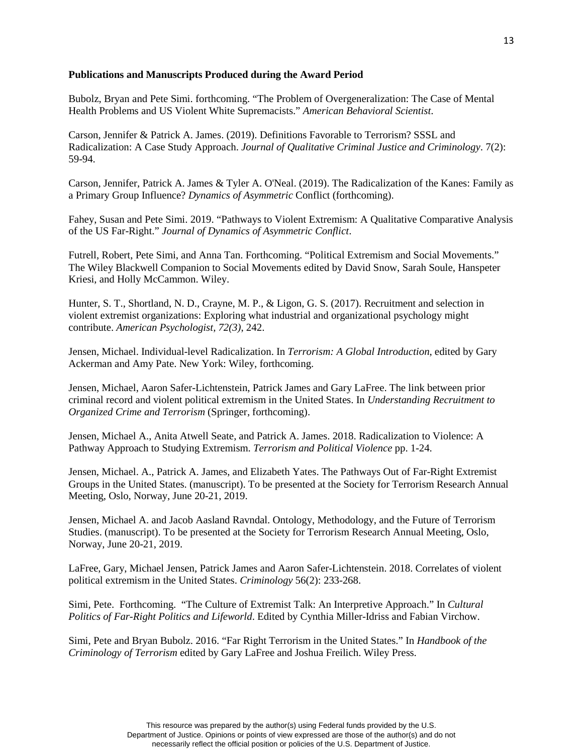#### **Publications and Manuscripts Produced during the Award Period**

Bubolz, Bryan and Pete Simi. forthcoming. "The Problem of Overgeneralization: The Case of Mental Health Problems and US Violent White Supremacists." *American Behavioral Scientist*.

Carson, Jennifer & Patrick A. James. (2019). Definitions Favorable to Terrorism? SSSL and Radicalization: A Case Study Approach. *Journal of Qualitative Criminal Justice and Criminology*. 7(2): 59-94.

Carson, Jennifer, Patrick A. James & Tyler A. O'Neal. (2019). The Radicalization of the Kanes: Family as a Primary Group Influence? *Dynamics of Asymmetric* Conflict (forthcoming).

Fahey, Susan and Pete Simi. 2019. "Pathways to Violent Extremism: A Qualitative Comparative Analysis of the US Far-Right." *Journal of Dynamics of Asymmetric Conflict*.

Futrell, Robert, Pete Simi, and Anna Tan. Forthcoming. "Political Extremism and Social Movements." The Wiley Blackwell Companion to Social Movements edited by David Snow, Sarah Soule, Hanspeter Kriesi, and Holly McCammon. Wiley.

Hunter, S. T., Shortland, N. D., Crayne, M. P., & Ligon, G. S. (2017). Recruitment and selection in violent extremist organizations: Exploring what industrial and organizational psychology might contribute. *American Psychologist, 72(3)*, 242.

Jensen, Michael. Individual-level Radicalization. In *Terrorism: A Global Introduction*, edited by Gary Ackerman and Amy Pate. New York: Wiley, forthcoming.

Jensen, Michael, Aaron Safer-Lichtenstein, Patrick James and Gary LaFree. The link between prior criminal record and violent political extremism in the United States. In *Understanding Recruitment to Organized Crime and Terrorism* (Springer, forthcoming).

Jensen, Michael A., Anita Atwell Seate, and Patrick A. James. 2018. Radicalization to Violence: A Pathway Approach to Studying Extremism. *Terrorism and Political Violence* pp. 1-24.

Jensen, Michael. A., Patrick A. James, and Elizabeth Yates. The Pathways Out of Far-Right Extremist Groups in the United States. (manuscript). To be presented at the Society for Terrorism Research Annual Meeting, Oslo, Norway, June 20-21, 2019.

Jensen, Michael A. and Jacob Aasland Ravndal. Ontology, Methodology, and the Future of Terrorism Studies. (manuscript). To be presented at the Society for Terrorism Research Annual Meeting, Oslo, Norway, June 20-21, 2019.

LaFree, Gary, Michael Jensen, Patrick James and Aaron Safer-Lichtenstein. 2018. Correlates of violent political extremism in the United States. *Criminology* 56(2): 233-268.

Simi, Pete. Forthcoming. "The Culture of Extremist Talk: An Interpretive Approach." In *Cultural Politics of Far-Right Politics and Lifeworld*. Edited by Cynthia Miller-Idriss and Fabian Virchow.

Simi, Pete and Bryan Bubolz. 2016. "Far Right Terrorism in the United States." In *Handbook of the Criminology of Terrorism* edited by Gary LaFree and Joshua Freilich. Wiley Press.